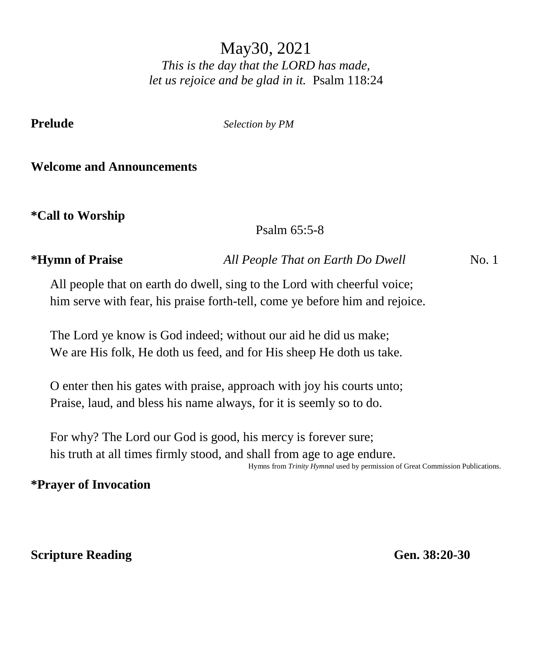May30, 2021 *This is the day that the LORD has made, let us rejoice and be glad in it.* Psalm 118:24

**Prelude** *Selection by PM*

### **Welcome and Announcements**

**\*Call to Worship** 

Psalm 65:5-8

**\*Hymn of Praise** *All People That on Earth Do Dwell* No. 1

All people that on earth do dwell, sing to the Lord with cheerful voice; him serve with fear, his praise forth-tell, come ye before him and rejoice.

The Lord ye know is God indeed; without our aid he did us make; We are His folk, He doth us feed, and for His sheep He doth us take.

O enter then his gates with praise, approach with joy his courts unto; Praise, laud, and bless his name always, for it is seemly so to do.

For why? The Lord our God is good, his mercy is forever sure; his truth at all times firmly stood, and shall from age to age endure.

Hymns from *Trinity Hymnal* used by permission of Great Commission Publications.

# **\*Prayer of Invocation**

**Scripture Reading Gen. 38:20-30**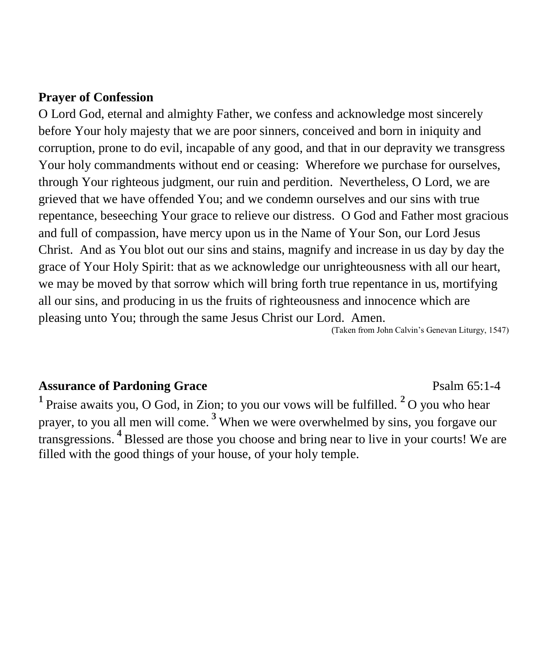### **Prayer of Confession**

O Lord God, eternal and almighty Father, we confess and acknowledge most sincerely before Your holy majesty that we are poor sinners, conceived and born in iniquity and corruption, prone to do evil, incapable of any good, and that in our depravity we transgress Your holy commandments without end or ceasing: Wherefore we purchase for ourselves, through Your righteous judgment, our ruin and perdition. Nevertheless, O Lord, we are grieved that we have offended You; and we condemn ourselves and our sins with true repentance, beseeching Your grace to relieve our distress. O God and Father most gracious and full of compassion, have mercy upon us in the Name of Your Son, our Lord Jesus Christ. And as You blot out our sins and stains, magnify and increase in us day by day the grace of Your Holy Spirit: that as we acknowledge our unrighteousness with all our heart, we may be moved by that sorrow which will bring forth true repentance in us, mortifying all our sins, and producing in us the fruits of righteousness and innocence which are pleasing unto You; through the same Jesus Christ our Lord. Amen.

(Taken from John Calvin's Genevan Liturgy, 1547)

# Assurance of Pardoning Grace **Particle 120 and 2018** Psalm 65:1-4

**<sup>1</sup>**Praise awaits you, O God, in Zion; to you our vows will be fulfilled. **2** O you who hear prayer, to you all men will come. **<sup>3</sup>**When we were overwhelmed by sins, you forgave our transgressions. **<sup>4</sup>**Blessed are those you choose and bring near to live in your courts! We are filled with the good things of your house, of your holy temple.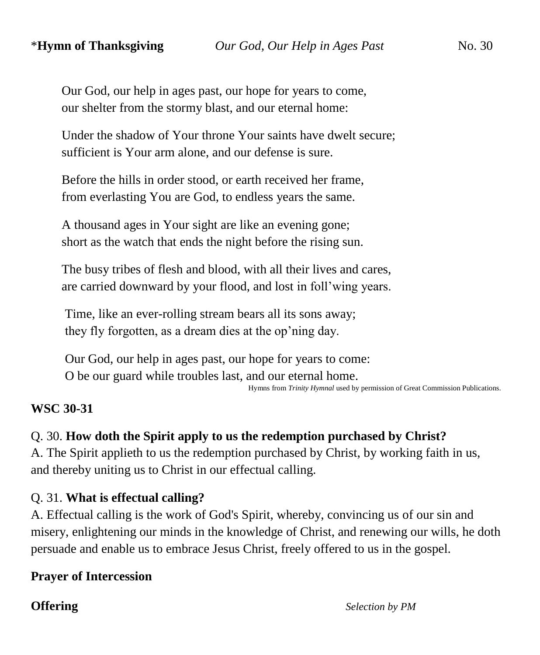Our God, our help in ages past, our hope for years to come, our shelter from the stormy blast, and our eternal home:

Under the shadow of Your throne Your saints have dwelt secure; sufficient is Your arm alone, and our defense is sure.

Before the hills in order stood, or earth received her frame, from everlasting You are God, to endless years the same.

A thousand ages in Your sight are like an evening gone; short as the watch that ends the night before the rising sun.

The busy tribes of flesh and blood, with all their lives and cares, are carried downward by your flood, and lost in foll'wing years.

Time, like an ever-rolling stream bears all its sons away; they fly forgotten, as a dream dies at the op'ning day.

Our God, our help in ages past, our hope for years to come: O be our guard while troubles last, and our eternal home.

Hymns from *Trinity Hymnal* used by permission of Great Commission Publications.

#### **WSC 30-31**

# Q. 30. **How doth the Spirit apply to us the redemption purchased by Christ?**

A. The Spirit applieth to us the redemption purchased by Christ, by working faith in us, and thereby uniting us to Christ in our effectual calling.

#### Q. 31. **What is effectual calling?**

A. Effectual calling is the work of God's Spirit, whereby, convincing us of our sin and misery, enlightening our minds in the knowledge of Christ, and renewing our wills, he doth persuade and enable us to embrace Jesus Christ, freely offered to us in the gospel.

# **Prayer of Intercession**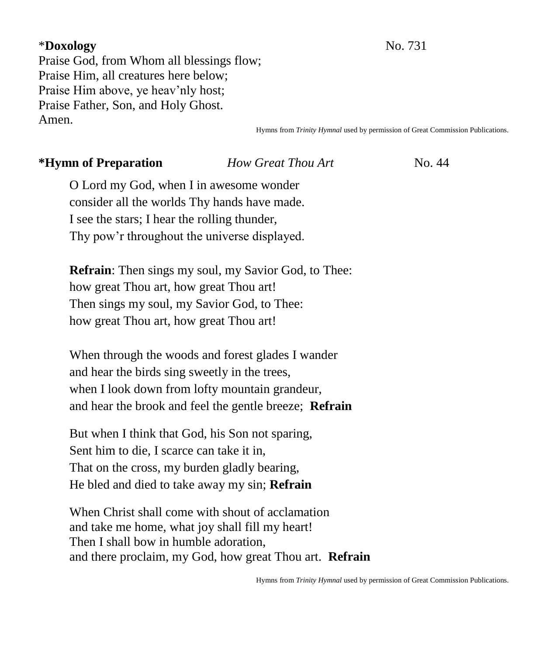### \***Doxology** No. 731

Praise God, from Whom all blessings flow; Praise Him, all creatures here below; Praise Him above, ye heav'nly host; Praise Father, Son, and Holy Ghost. Amen.

Hymns from *Trinity Hymnal* used by permission of Great Commission Publications.

#### **\*Hymn of Preparation** *<i>How Great Thou Art* **No. 44**

O Lord my God, when I in awesome wonder consider all the worlds Thy hands have made. I see the stars; I hear the rolling thunder, Thy pow'r throughout the universe displayed.

**Refrain**: Then sings my soul, my Savior God, to Thee: how great Thou art, how great Thou art! Then sings my soul, my Savior God, to Thee: how great Thou art, how great Thou art!

When through the woods and forest glades I wander and hear the birds sing sweetly in the trees, when I look down from lofty mountain grandeur, and hear the brook and feel the gentle breeze; **Refrain**

But when I think that God, his Son not sparing, Sent him to die, I scarce can take it in, That on the cross, my burden gladly bearing, He bled and died to take away my sin; **Refrain**

When Christ shall come with shout of acclamation and take me home, what joy shall fill my heart! Then I shall bow in humble adoration, and there proclaim, my God, how great Thou art. **Refrain**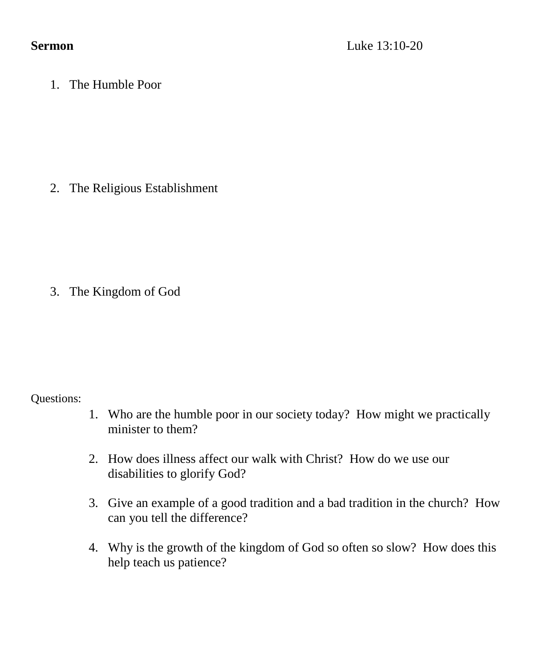1. The Humble Poor

2. The Religious Establishment

3. The Kingdom of God

Questions:

- 1. Who are the humble poor in our society today? How might we practically minister to them?
- 2. How does illness affect our walk with Christ? How do we use our disabilities to glorify God?
- 3. Give an example of a good tradition and a bad tradition in the church? How can you tell the difference?
- 4. Why is the growth of the kingdom of God so often so slow? How does this help teach us patience?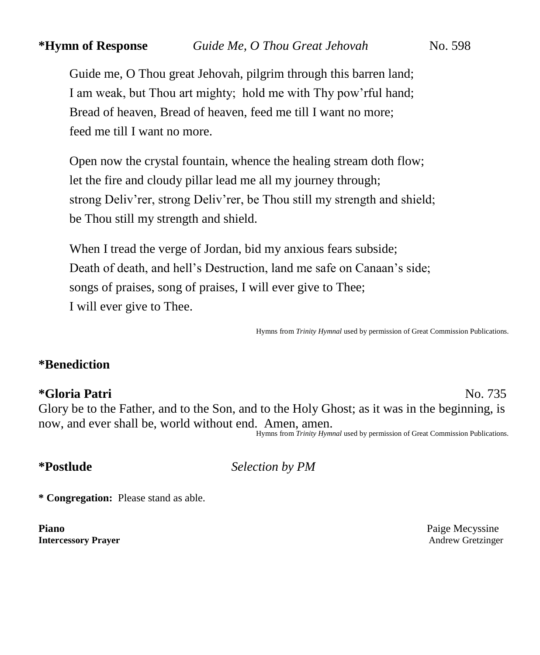Guide me, O Thou great Jehovah, pilgrim through this barren land; I am weak, but Thou art mighty; hold me with Thy pow'rful hand; Bread of heaven, Bread of heaven, feed me till I want no more; feed me till I want no more.

Open now the crystal fountain, whence the healing stream doth flow; let the fire and cloudy pillar lead me all my journey through; strong Deliv'rer, strong Deliv'rer, be Thou still my strength and shield; be Thou still my strength and shield.

When I tread the verge of Jordan, bid my anxious fears subside; Death of death, and hell's Destruction, land me safe on Canaan's side; songs of praises, song of praises, I will ever give to Thee; I will ever give to Thee.

Hymns from *Trinity Hymnal* used by permission of Great Commission Publications.

### **\*Benediction**

#### **\*Gloria Patri** No. 735

Glory be to the Father, and to the Son, and to the Holy Ghost; as it was in the beginning, is now, and ever shall be, world without end. Amen, amen. Hymns from *Trinity Hymnal* used by permission of Great Commission Publications.

**\*Postlude** *Selection by PM*

**\* Congregation:** Please stand as able.

**Piano** Paige Mecyssine **Intercessory Prayer** Andrew Gretzinger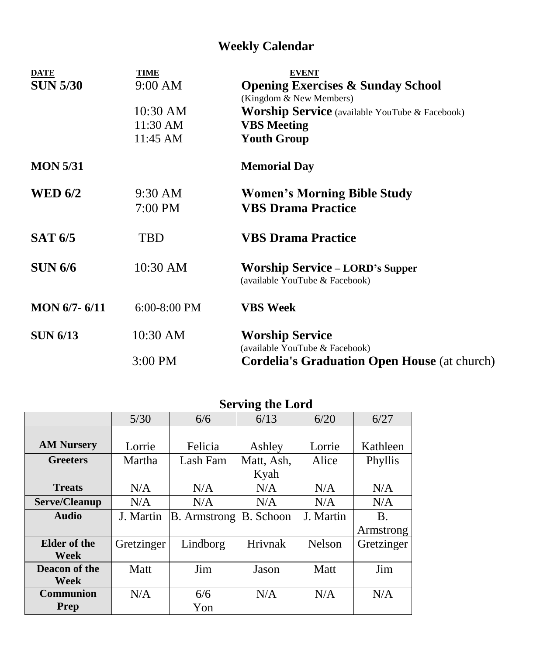# **Weekly Calendar**

| <b>DATE</b><br><b>SUN 5/30</b> | <b>TIME</b><br>9:00 AM | <b>EVENT</b>                                                             |
|--------------------------------|------------------------|--------------------------------------------------------------------------|
|                                |                        | <b>Opening Exercises &amp; Sunday School</b><br>(Kingdom & New Members)  |
|                                | $10:30$ AM             | <b>Worship Service</b> (available YouTube & Facebook)                    |
|                                | 11:30 AM               | <b>VBS</b> Meeting                                                       |
|                                | 11:45 AM               | <b>Youth Group</b>                                                       |
| <b>MON 5/31</b>                |                        | <b>Memorial Day</b>                                                      |
| <b>WED 6/2</b>                 | 9:30 AM                | <b>Women's Morning Bible Study</b>                                       |
|                                | 7:00 PM                | <b>VBS Drama Practice</b>                                                |
| <b>SAT 6/5</b>                 | TBD                    | <b>VBS Drama Practice</b>                                                |
| <b>SUN 6/6</b>                 | 10:30 AM               | <b>Worship Service – LORD's Supper</b><br>(available YouTube & Facebook) |
| $MON 6/7 - 6/11$               | $6:00-8:00$ PM         | <b>VBS</b> Week                                                          |
| <b>SUN 6/13</b>                | 10:30 AM               | <b>Worship Service</b>                                                   |
|                                |                        | (available YouTube & Facebook)                                           |
|                                | 3:00 PM                | <b>Cordelia's Graduation Open House</b> (at church)                      |

|                   | Serving the Lord |                     |                  |               |            |  |  |
|-------------------|------------------|---------------------|------------------|---------------|------------|--|--|
|                   | 5/30             | 6/6                 | 6/13             | 6/20          | 6/27       |  |  |
|                   |                  |                     |                  |               |            |  |  |
| <b>AM Nursery</b> | Lorrie           | Felicia             | Ashley           | Lorrie        | Kathleen   |  |  |
| <b>Greeters</b>   | Martha           | Lash Fam            | Matt, Ash,       | Alice         | Phyllis    |  |  |
|                   |                  |                     | Kyah             |               |            |  |  |
| <b>Treats</b>     | N/A              | N/A                 | N/A              | N/A           | N/A        |  |  |
| Serve/Cleanup     | N/A              | N/A                 | N/A              | N/A           | N/A        |  |  |
| <b>Audio</b>      | J. Martin        | <b>B.</b> Armstrong | <b>B.</b> Schoon | J. Martin     | <b>B.</b>  |  |  |
|                   |                  |                     |                  |               | Armstrong  |  |  |
| Elder of the      | Gretzinger       | Lindborg            | Hrivnak          | <b>Nelson</b> | Gretzinger |  |  |
| Week              |                  |                     |                  |               |            |  |  |
| Deacon of the     | Matt             | Jim                 | Jason            | Matt          | Jim        |  |  |
| Week              |                  |                     |                  |               |            |  |  |
| <b>Communion</b>  | N/A              | 6/6                 | N/A              | N/A           | N/A        |  |  |
| Prep              |                  | Yon                 |                  |               |            |  |  |

# **Serving the Lord**